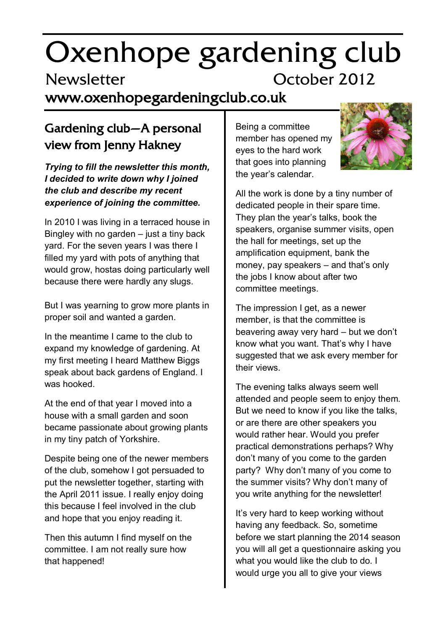# Oxenhope gardening club Newsletter October 2012

www.oxenhopegardeningclub.co.uk

### Gardening club—A personal view from Jenny Hakney

*Trying to fill the newsletter this month, I decided to write down why I joined the club and describe my recent experience of joining the committee.* 

In 2010 I was living in a terraced house in Bingley with no garden – just a tiny back yard. For the seven years I was there I filled my yard with pots of anything that would grow, hostas doing particularly well because there were hardly any slugs.

But I was yearning to grow more plants in proper soil and wanted a garden.

In the meantime I came to the club to expand my knowledge of gardening. At my first meeting I heard Matthew Biggs speak about back gardens of England. I was hooked.

At the end of that year I moved into a house with a small garden and soon became passionate about growing plants in my tiny patch of Yorkshire.

Despite being one of the newer members of the club, somehow I got persuaded to put the newsletter together, starting with the April 2011 issue. I really enjoy doing this because I feel involved in the club and hope that you enjoy reading it.

Then this autumn I find myself on the committee. I am not really sure how that happened!

Being a committee member has opened my eyes to the hard work that goes into planning the year's calendar.



All the work is done by a tiny number of dedicated people in their spare time. They plan the year's talks, book the speakers, organise summer visits, open the hall for meetings, set up the amplification equipment, bank the money, pay speakers – and that's only the jobs I know about after two committee meetings.

The impression I get, as a newer member, is that the committee is beavering away very hard – but we don't know what you want. That's why I have suggested that we ask every member for their views.

The evening talks always seem well attended and people seem to enjoy them. But we need to know if you like the talks, or are there are other speakers you would rather hear. Would you prefer practical demonstrations perhaps? Why don't many of you come to the garden party? Why don't many of you come to the summer visits? Why don't many of you write anything for the newsletter!

It's very hard to keep working without having any feedback. So, sometime before we start planning the 2014 season you will all get a questionnaire asking you what you would like the club to do. I would urge you all to give your views